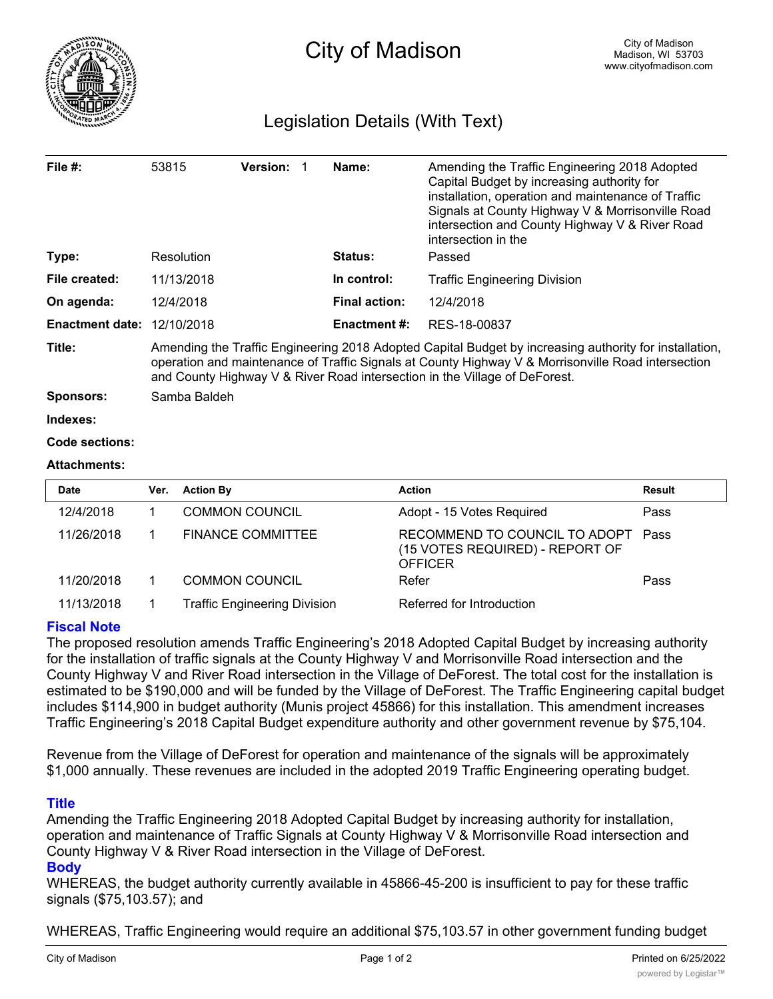

# Legislation Details (With Text)

| File $#$ :             | 53815                                                                                                                                                                                                                                                                                      | <b>Version:</b> |  | Name:                | Amending the Traffic Engineering 2018 Adopted<br>Capital Budget by increasing authority for<br>installation, operation and maintenance of Traffic<br>Signals at County Highway V & Morrisonville Road<br>intersection and County Highway V & River Road<br>intersection in the |  |  |
|------------------------|--------------------------------------------------------------------------------------------------------------------------------------------------------------------------------------------------------------------------------------------------------------------------------------------|-----------------|--|----------------------|--------------------------------------------------------------------------------------------------------------------------------------------------------------------------------------------------------------------------------------------------------------------------------|--|--|
| Type:                  | Resolution                                                                                                                                                                                                                                                                                 |                 |  | <b>Status:</b>       | Passed                                                                                                                                                                                                                                                                         |  |  |
| File created:          | 11/13/2018                                                                                                                                                                                                                                                                                 |                 |  | In control:          | Traffic Engineering Division                                                                                                                                                                                                                                                   |  |  |
| On agenda:             | 12/4/2018                                                                                                                                                                                                                                                                                  |                 |  | <b>Final action:</b> | 12/4/2018                                                                                                                                                                                                                                                                      |  |  |
| <b>Enactment date:</b> | 12/10/2018                                                                                                                                                                                                                                                                                 |                 |  | <b>Enactment #:</b>  | RES-18-00837                                                                                                                                                                                                                                                                   |  |  |
| Title:                 | Amending the Traffic Engineering 2018 Adopted Capital Budget by increasing authority for installation,<br>operation and maintenance of Traffic Signals at County Highway V & Morrisonville Road intersection<br>and County Highway V & River Road intersection in the Village of DeForest. |                 |  |                      |                                                                                                                                                                                                                                                                                |  |  |
| <b>Sponsors:</b>       | Samba Baldeh                                                                                                                                                                                                                                                                               |                 |  |                      |                                                                                                                                                                                                                                                                                |  |  |
| Indexes:               |                                                                                                                                                                                                                                                                                            |                 |  |                      |                                                                                                                                                                                                                                                                                |  |  |
| Code sections:         |                                                                                                                                                                                                                                                                                            |                 |  |                      |                                                                                                                                                                                                                                                                                |  |  |
|                        |                                                                                                                                                                                                                                                                                            |                 |  |                      |                                                                                                                                                                                                                                                                                |  |  |

## **Attachments:**

| Date       | Ver. | <b>Action By</b>                    | <b>Action</b>                                                                      | Result |
|------------|------|-------------------------------------|------------------------------------------------------------------------------------|--------|
| 12/4/2018  |      | <b>COMMON COUNCIL</b>               | Adopt - 15 Votes Required                                                          | Pass   |
| 11/26/2018 |      | <b>FINANCE COMMITTEE</b>            | RECOMMEND TO COUNCIL TO ADOPT<br>(15 VOTES REQUIRED) - REPORT OF<br><b>OFFICER</b> | Pass   |
| 11/20/2018 |      | <b>COMMON COUNCIL</b>               | Refer                                                                              | Pass   |
| 11/13/2018 |      | <b>Traffic Engineering Division</b> | Referred for Introduction                                                          |        |

# **Fiscal Note**

The proposed resolution amends Traffic Engineering's 2018 Adopted Capital Budget by increasing authority for the installation of traffic signals at the County Highway V and Morrisonville Road intersection and the County Highway V and River Road intersection in the Village of DeForest. The total cost for the installation is estimated to be \$190,000 and will be funded by the Village of DeForest. The Traffic Engineering capital budget includes \$114,900 in budget authority (Munis project 45866) for this installation. This amendment increases Traffic Engineering's 2018 Capital Budget expenditure authority and other government revenue by \$75,104.

Revenue from the Village of DeForest for operation and maintenance of the signals will be approximately \$1,000 annually. These revenues are included in the adopted 2019 Traffic Engineering operating budget.

## **Title**

Amending the Traffic Engineering 2018 Adopted Capital Budget by increasing authority for installation, operation and maintenance of Traffic Signals at County Highway V & Morrisonville Road intersection and County Highway V & River Road intersection in the Village of DeForest.

# **Body**

WHEREAS, the budget authority currently available in 45866-45-200 is insufficient to pay for these traffic signals (\$75,103.57); and

WHEREAS, Traffic Engineering would require an additional \$75,103.57 in other government funding budget